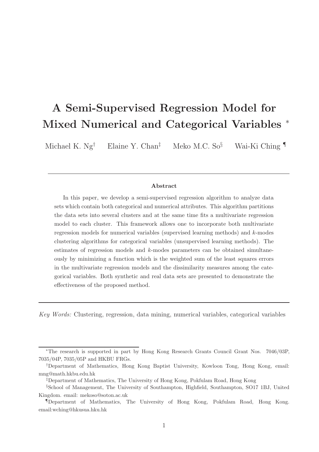# A Semi-Supervised Regression Model for Mixed Numerical and Categorical Variables <sup>∗</sup>

Michael K.  $Ng^{\dagger}$  Elaine Y. Chan<sup>‡</sup> Meko M.C. So<sup>§</sup> Wai-Ki Ching

#### Abstract

In this paper, we develop a semi-supervised regression algorithm to analyze data sets which contain both categorical and numerical attributes. This algorithm partitions the data sets into several clusters and at the same time fits a multivariate regression model to each cluster. This framework allows one to incorporate both multivariate regression models for numerical variables (supervised learning methods) and k-modes clustering algorithms for categorical variables (unsupervised learning methods). The estimates of regression models and k-modes parameters can be obtained simultaneously by minimizing a function which is the weighted sum of the least squares errors in the multivariate regression models and the dissimilarity measures among the categorical variables. Both synthetic and real data sets are presented to demonstrate the effectiveness of the proposed method.

Key Words: Clustering, regression, data mining, numerical variables, categorical variables

<sup>∗</sup>The research is supported in part by Hong Kong Research Grants Council Grant Nos. 7046/03P, 7035/04P, 7035/05P and HKBU FRGs.

<sup>†</sup>Department of Mathematics, Hong Kong Baptist University, Kowloon Tong, Hong Kong, email: mng@math.hkbu.edu.hk

<sup>‡</sup>Department of Mathematics, The University of Hong Kong, Pokfulam Road, Hong Kong

<sup>§</sup>School of Management, The University of Southampton, Highfield, Southampton, SO17 1BJ, United Kingdom. email: mekoso@soton.ac.uk

<sup>¶</sup>Department of Mathematics, The University of Hong Kong, Pokfulam Road, Hong Kong. email:wching@hkusua.hku.hk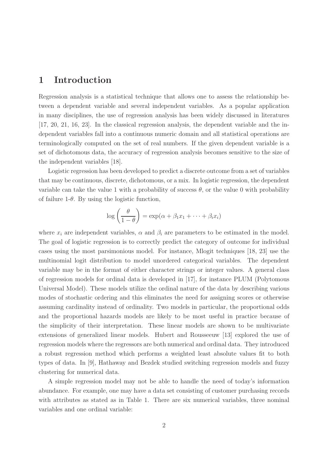## 1 Introduction

Regression analysis is a statistical technique that allows one to assess the relationship between a dependent variable and several independent variables. As a popular application in many disciplines, the use of regression analysis has been widely discussed in literatures [17, 20, 21, 16, 23]. In the classical regression analysis, the dependent variable and the independent variables fall into a continuous numeric domain and all statistical operations are terminologically computed on the set of real numbers. If the given dependent variable is a set of dichotomous data, the accuracy of regression analysis becomes sensitive to the size of the independent variables [18].

Logistic regression has been developed to predict a discrete outcome from a set of variables that may be continuous, discrete, dichotomous, or a mix. In logistic regression, the dependent variable can take the value 1 with a probability of success  $\theta$ , or the value 0 with probability of failure 1- $\theta$ . By using the logistic function,

$$
\log\left(\frac{\theta}{1-\theta}\right) = \exp(\alpha + \beta_1 x_1 + \dots + \beta_i x_i)
$$

where  $x_i$  are independent variables,  $\alpha$  and  $\beta_i$  are parameters to be estimated in the model. The goal of logistic regression is to correctly predict the category of outcome for individual cases using the most parsimonious model. For instance, Mlogit techniques [18, 23] use the multinomial logit distribution to model unordered categorical variables. The dependent variable may be in the format of either character strings or integer values. A general class of regression models for ordinal data is developed in [17], for instance PLUM (Polytomous Universal Model). These models utilize the ordinal nature of the data by describing various modes of stochastic ordering and this eliminates the need for assigning scores or otherwise assuming cardinality instead of ordinality. Two models in particular, the proportional odds and the proportional hazards models are likely to be most useful in practice because of the simplicity of their interpretation. These linear models are shown to be multivariate extensions of generalized linear models. Hubert and Rousseeuw [13] explored the use of regression models where the regressors are both numerical and ordinal data. They introduced a robust regression method which performs a weighted least absolute values fit to both types of data. In [9], Hathaway and Bezdek studied switching regression models and fuzzy clustering for numerical data.

A simple regression model may not be able to handle the need of today's information abundance. For example, one may have a data set consisting of customer purchasing records with attributes as stated as in Table 1. There are six numerical variables, three nominal variables and one ordinal variable: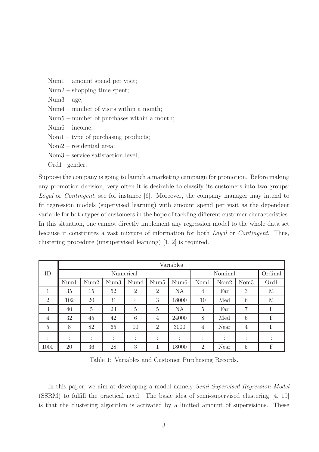Num1 – amount spend per visit;

- Num2 shopping time spent;
- Num3 age;
- Num4 number of visits within a month;
- Num5 number of purchases within a month;
- Num6 income;
- Nom1 type of purchasing products;
- Nom2 residential area;
- Nom3 service satisfaction level;

Ord1 –gender.

Suppose the company is going to launch a marketing campaign for promotion. Before making any promotion decision, very often it is desirable to classify its customers into two groups: Loyal or Contingent, see for instance [6]. Moreover, the company manager may intend to fit regression models (supervised learning) with amount spend per visit as the dependent variable for both types of customers in the hope of tackling different customer characteristics. In this situation, one cannot directly implement any regression model to the whole data set because it constitutes a vast mixture of information for both Loyal or Contingent. Thus, clustering procedure (unsupervised learning) [1, 2] is required.

|                                                  | Variables                        |                                    |                           |                   |                |                                          |                |                                |                                   |         |
|--------------------------------------------------|----------------------------------|------------------------------------|---------------------------|-------------------|----------------|------------------------------------------|----------------|--------------------------------|-----------------------------------|---------|
| ID                                               | Numerical                        |                                    |                           |                   |                |                                          | Nominal        |                                |                                   | Ordinal |
|                                                  | Num1                             | Num2                               | Num3                      | Num4              | Num5           | Num <sub>6</sub>                         | Nom1           | Nom <sub>2</sub>               | Nom <sub>3</sub>                  | Ord1    |
| 1                                                | 35                               | 15                                 | 52                        | $\overline{2}$    | $\overline{2}$ | NA                                       | $\overline{4}$ | Far                            | 3                                 | M       |
| 2                                                | 102                              | 20                                 | 31                        | 4                 | 3              | 18000                                    | 10             | Med                            | 6                                 | M       |
| 3                                                | 40                               | $\overline{5}$                     | 23                        | $\overline{5}$    | $\overline{5}$ | NA                                       | $\overline{5}$ | Far                            | 7                                 | F       |
| $\overline{4}$                                   | 32                               | 45                                 | 42                        | 6                 | 4              | 24000                                    | 8              | Med                            | 6                                 | F       |
| $\overline{5}$                                   | 8                                | 82                                 | 65                        | 10                | $\overline{2}$ | 3000                                     | $\overline{4}$ | Near                           | $\overline{4}$                    | F       |
| $\overline{\phantom{a}}$<br>$\cdot$<br>$\bullet$ | ٠<br>$\bullet$<br>$\blacksquare$ | ٠<br>٠<br>$\overline{\phantom{a}}$ | ٠<br>$\bullet$<br>$\cdot$ | ٠<br>٠<br>$\cdot$ | ٠              | $\bullet$<br>$\bullet$<br>$\blacksquare$ | ٠<br>۰<br>٠    | ٠<br>٠<br>$\ddot{\phantom{a}}$ | $\bullet$<br>$\cdot$<br>$\lambda$ |         |
| 1000                                             | 20                               | 36                                 | 28                        | 3                 | 1<br>-         | 18000                                    | $\overline{2}$ | Near                           | $\overline{5}$                    | F       |

Table 1: Variables and Customer Purchasing Records.

In this paper, we aim at developing a model namely Semi-Supervised Regression Model (SSRM) to fulfill the practical need. The basic idea of semi-supervised clustering [4, 19] is that the clustering algorithm is activated by a limited amount of supervisions. These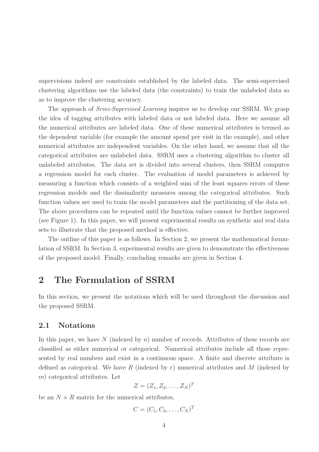supervisions indeed are constraints established by the labeled data. The semi-supervised clustering algorithms use the labeled data (the constraints) to train the unlabeled data so as to improve the clustering accuracy.

The approach of *Semi-Supervised Learning* inspires us to develop our SSRM. We grasp the idea of tagging attributes with labeled data or not labeled data. Here we assume all the numerical attributes are labeled data. One of these numerical attributes is termed as the dependent variable (for example the amount spend per visit in the example), and other numerical attributes are independent variables. On the other hand, we assume that all the categorical attributes are unlabeled data. SSRM uses a clustering algorithm to cluster all unlabeled attributes. The data set is divided into several clusters, then SSRM computes a regression model for each cluster. The evaluation of model parameters is achieved by measuring a function which consists of a weighted sum of the least squares errors of these regression models and the dissimilarity measures among the categorical attributes. Such function values are used to train the model parameters and the partitioning of the data set. The above procedures can be repeated until the function values cannot be further improved (see Figure 1). In this paper, we will present experimental results on synthetic and real data sets to illustrate that the proposed method is effective.

The outline of this paper is as follows. In Section 2, we present the mathematical formulation of SSRM. In Section 3, experimental results are given to demonstrate the effectiveness of the proposed model. Finally, concluding remarks are given in Section 4.

## 2 The Formulation of SSRM

In this section, we present the notations which will be used throughout the discussion and the proposed SSRM.

#### 2.1 Notations

In this paper, we have  $N$  (indexed by  $n$ ) number of records. Attributes of these records are classified as either numerical or categorical. Numerical attributes include all those represented by real numbers and exist in a continuous space. A finite and discrete attribute is defined as categorical. We have R (indexed by r) numerical attributes and M (indexed by m) categorical attributes. Let

$$
Z=(Z_1,Z_2,\ldots,Z_N)^T
$$

be an  $N \times R$  matrix for the numerical attributes,

$$
C=(C_1,C_2,\ldots,C_N)^T
$$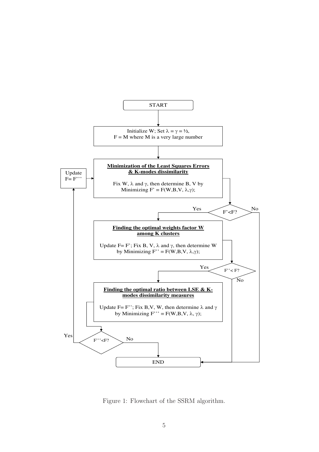

Figure 1: Flowchart of the SSRM algorithm.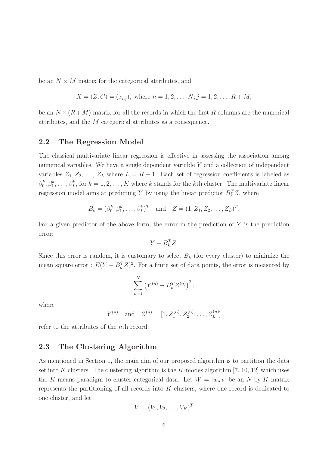be an  $N \times M$  matrix for the categorical attributes, and

$$
X = (Z, C) = (x_{nj}),
$$
 where  $n = 1, 2, ..., N; j = 1, 2, ..., R + M,$ 

be an  $N \times (R+M)$  matrix for all the records in which the first R columns are the numerical attributes, and the M categorical attributes as a consequence.

#### 2.2 The Regression Model

The classical multivariate linear regression is effective in assessing the association among numerical variables. We have a single dependent variable Y and a collection of independent variables  $Z_1, Z_2, \ldots, Z_L$  where  $L = R - 1$ . Each set of regression coefficients is labeled as  $\beta_0^k, \beta_1^k, \ldots, \beta_L^k$ , for  $k = 1, 2, \ldots, K$  where k stands for the kth cluster. The multivariate linear regression model aims at predicting Y by using the linear predictor  $B_k^T Z$ , where

$$
B_k = (\beta_0^k, \beta_1^k, \dots, \beta_L^k)^T
$$
 and  $Z = (1, Z_1, Z_2, \dots, Z_L)^T$ .

For a given predictor of the above form, the error in the prediction of  $Y$  is the prediction error:

$$
Y - B_k^T Z.
$$

Since this error is random, it is customary to select  $B_k$  (for every cluster) to minimize the mean square error :  $E(Y - B_k^T Z)^2$ . For a finite set of data points, the error is measured by

$$
\sum_{n=1}^{N} (Y^{(n)} - B_k^T Z^{(n)})^2,
$$

where

$$
Y^{(n)}
$$
 and  $Z^{(n)} = [1, Z_1^{(n)}, Z_2^{(n)}, \dots, Z_L^{(n)}]$ 

refer to the attributes of the nth record.

## 2.3 The Clustering Algorithm

As mentioned in Section 1, the main aim of our proposed algorithm is to partition the data set into K clusters. The clustering algorithm is the K-modes algorithm  $[7, 10, 12]$  which uses the K-means paradigm to cluster categorical data. Let  $W = [w_{n,k}]$  be an N-by-K matrix represents the partitioning of all records into K clusters, where one record is dedicated to one cluster, and let

$$
V = (V_1, V_2, \dots, V_K)^T
$$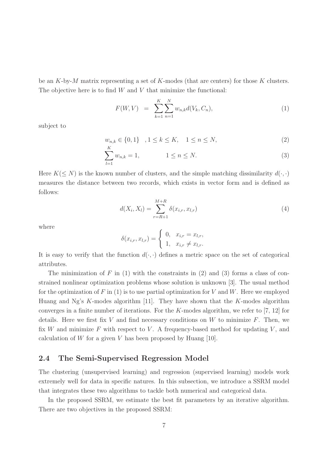be an K-by-M matrix representing a set of K-modes (that are centers) for those K clusters. The objective here is to find  $W$  and  $V$  that minimize the functional:

$$
F(W, V) = \sum_{k=1}^{K} \sum_{n=1}^{N} w_{n,k} d(V_k, C_n), \qquad (1)
$$

subject to

 $w_{n,k} \in \{0,1\}$ ,  $1 \le k \le K$ ,  $1 \le n \le N$ , (2) K

$$
\sum_{l=1}^{N} w_{n,k} = 1, \qquad \qquad 1 \le n \le N. \tag{3}
$$

Here  $K(\leq N)$  is the known number of clusters, and the simple matching dissimilarity  $d(\cdot, \cdot)$ measures the distance between two records, which exists in vector form and is defined as follows:

$$
d(X_i, X_l) = \sum_{r=R+1}^{M+R} \delta(x_{i,r}, x_{l,r})
$$
\n(4)

where

$$
\delta(x_{i,r}, x_{l,r}) = \begin{cases} 0, & x_{i,r} = x_{l,r}, \\ 1, & x_{i,r} \neq x_{l,r}. \end{cases}
$$

It is easy to verify that the function  $d(\cdot, \cdot)$  defines a metric space on the set of categorical attributes.

The minimization of  $F$  in (1) with the constraints in (2) and (3) forms a class of constrained nonlinear optimization problems whose solution is unknown [3]. The usual method for the optimization of F in  $(1)$  is to use partial optimization for V and W. Here we employed Huang and Ng's  $K$ -modes algorithm [11]. They have shown that the  $K$ -modes algorithm converges in a finite number of iterations. For the K-modes algorithm, we refer to  $[7, 12]$  for details. Here we first fix V and find necessary conditions on W to minimize  $F$ . Then, we fix W and minimize F with respect to V. A frequency-based method for updating V, and calculation of W for a given V has been proposed by Huang  $[10]$ .

#### 2.4 The Semi-Supervised Regression Model

The clustering (unsupervised learning) and regression (supervised learning) models work extremely well for data in specific natures. In this subsection, we introduce a SSRM model that integrates these two algorithms to tackle both numerical and categorical data.

In the proposed SSRM, we estimate the best fit parameters by an iterative algorithm. There are two objectives in the proposed SSRM: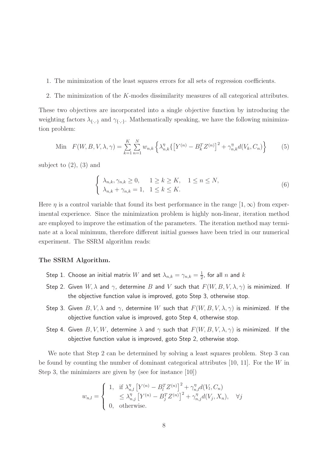- 1. The minimization of the least squares errors for all sets of regression coefficients.
- 2. The minimization of the K-modes dissimilarity measures of all categorical attributes.

These two objectives are incorporated into a single objective function by introducing the weighting factors  $\lambda_{\{\cdot,\cdot\}}$  and  $\gamma_{\{\cdot,\cdot\}}$ . Mathematically speaking, we have the following minimization problem:

Min 
$$
F(W, B, V, \lambda, \gamma) = \sum_{k=1}^{K} \sum_{n=1}^{N} w_{n,k} \left\{ \lambda_{n,k}^{\eta} \left\{ \left[ Y^{(n)} - B_k^T Z^{(n)} \right]^2 + \gamma_{n,k}^{\eta} d(V_k, C_n) \right\} \right\}
$$
 (5)

subject to  $(2)$ ,  $(3)$  and

$$
\begin{cases} \lambda_{n,k}, \gamma_{n,k} \ge 0, & 1 \ge k \ge K, \quad 1 \le n \le N, \\ \lambda_{n,k} + \gamma_{n,k} = 1, & 1 \le k \le K. \end{cases}
$$
 (6)

Here  $\eta$  is a control variable that found its best performance in the range  $[1,\infty)$  from experimental experience. Since the minimization problem is highly non-linear, iteration method are employed to improve the estimation of the parameters. The iteration method may terminate at a local minimum, therefore different initial guesses have been tried in our numerical experiment. The SSRM algorithm reads:

#### The SSRM Algorithm.

- Step 1. Choose an initial matrix  $W$  and set  $\lambda_{n,k}=\gamma_{n,k}=\frac{1}{2}$  $\frac{1}{2}$ , for all  $n$  and  $k$
- Step 2. Given  $W, \lambda$  and  $\gamma$ , determine B and V such that  $F(W, B, V, \lambda, \gamma)$  is minimized. If the objective function value is improved, goto Step 3, otherwise stop.
- Step 3. Given  $B, V, \lambda$  and  $\gamma$ , determine W such that  $F(W, B, V, \lambda, \gamma)$  is minimized. If the objective function value is improved, goto Step 4, otherwise stop.
- Step 4. Given  $B, V, W$ , determine  $\lambda$  and  $\gamma$  such that  $F(W, B, V, \lambda, \gamma)$  is minimized. If the objective function value is improved, goto Step 2, otherwise stop.

We note that Step 2 can be determined by solving a least squares problem. Step 3 can be found by counting the number of dominant categorical attributes [10, 11]. For the W in Step 3, the minimizers are given by (see for instance [10])

$$
w_{n,l} = \begin{cases} 1, & \text{if } \lambda_{n,l}^{\eta} \left[ Y^{(n)} - B_l^T Z^{(n)} \right]^2 + \gamma_{n,l}^{\eta} d(V_l, C_n) \\ & \leq \lambda_{n,j}^{\eta} \left[ Y^{(n)} - B_j^T Z^{(n)} \right]^2 + \gamma_{n,j}^{\eta} d(V_j, X_n), \quad \forall j \\ 0, & \text{otherwise.} \end{cases}
$$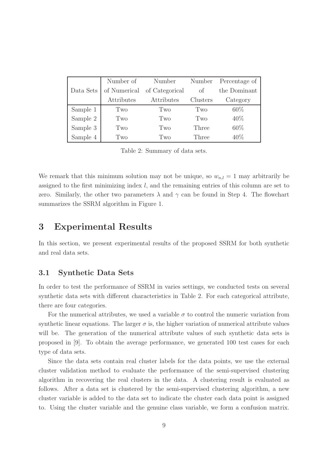|           | Number of    | Number         | Number   | Percentage of |
|-----------|--------------|----------------|----------|---------------|
| Data Sets | of Numerical | of Categorical | of       | the Dominant  |
|           | Attributes   | Attributes     | Clusters | Category      |
| Sample 1  | Two          | Two            | Two      | $60\%$        |
| Sample 2  | Two          | Two            | Two      | 40\%          |
| Sample 3  | Two          | Two            | Three    | 60%           |
| Sample 4  | Two          | Two            | Three    | 40\%          |

Table 2: Summary of data sets.

We remark that this minimum solution may not be unique, so  $w_{n,l} = 1$  may arbitrarily be assigned to the first minimizing index  $l$ , and the remaining entries of this column are set to zero. Similarly, the other two parameters  $\lambda$  and  $\gamma$  can be found in Step 4. The flowchart summarizes the SSRM algorithm in Figure 1.

## 3 Experimental Results

In this section, we present experimental results of the proposed SSRM for both synthetic and real data sets.

#### 3.1 Synthetic Data Sets

In order to test the performance of SSRM in varies settings, we conducted tests on several synthetic data sets with different characteristics in Table 2. For each categorical attribute, there are four categories.

For the numerical attributes, we used a variable  $\sigma$  to control the numeric variation from synthetic linear equations. The larger  $\sigma$  is, the higher variation of numerical attribute values will be. The generation of the numerical attribute values of such synthetic data sets is proposed in [9]. To obtain the average performance, we generated 100 test cases for each type of data sets.

Since the data sets contain real cluster labels for the data points, we use the external cluster validation method to evaluate the performance of the semi-supervised clustering algorithm in recovering the real clusters in the data. A clustering result is evaluated as follows. After a data set is clustered by the semi-supervised clustering algorithm, a new cluster variable is added to the data set to indicate the cluster each data point is assigned to. Using the cluster variable and the genuine class variable, we form a confusion matrix.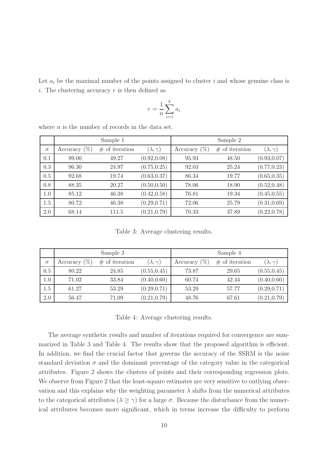Let  $a_i$  be the maximal number of the points assigned to cluster i and whose genuine class is i. The clustering accuracy  $r$  is then defined as

$$
r = \frac{1}{n} \sum_{i=1}^{k} a_i
$$

|          |                 | Sample 1         |                     | Sample 2        |                  |                    |  |
|----------|-----------------|------------------|---------------------|-----------------|------------------|--------------------|--|
| $\sigma$ | Accuracy $(\%)$ | $#$ of iteration | $(\lambda, \gamma)$ | Accuracy $(\%)$ | $#$ of iteration | $(\lambda,\gamma)$ |  |
| 0.1      | 99.00           | 49.27            | (0.92, 0.08)        | 95.93           | 48.50            | (0.93, 0.07)       |  |
| 0.3      | 96.30           | 24.97            | (0.75, 0.25)        | 92.03           | 25.24            | (0.77, 0.23)       |  |
| 0.5      | 92.68           | 19.74            | (0.63, 0.37)        | 86.34           | 19.77            | (0.65, 0.35)       |  |
| 0.8      | 88.35           | 20.27            | (0.50, 0.50)        | 78.06           | 18.90            | (0.52, 0.48)       |  |
| 1.0      | 85.12           | 46.38            | (0.42, 0.58)        | 76.81           | 19.34            | (0.45, 0.55)       |  |
| 1.5      | 80.72           | 46.38            | (0.29, 0.71)        | 72.06           | 25.79            | (0.31, 0.69)       |  |
| 2.0      | 68.14           | 111.5            | (0.21, 0.79)        | 70.33           | 37.89            | (0.22, 0.78)       |  |

where  $n$  is the number of records in the data set.

Table 3: Average clustering results.

|          |                 | Sample 3         |                     | Sample 4        |                  |                    |  |
|----------|-----------------|------------------|---------------------|-----------------|------------------|--------------------|--|
| $\sigma$ | Accuracy $(\%)$ | $#$ of iteration | $(\lambda, \gamma)$ | Accuracy $(\%)$ | $#$ of iteration | $(\lambda,\gamma)$ |  |
| 0.5      | 80.22           | 24.85            | (0.55, 0.45)        | 73.87           | 29.65            | (0.55, 0.45)       |  |
| 1.0      | 71.02           | 33.84            | (0.40, 0.60)        | 60.74           | 42.44            | (0.40, 0.60)       |  |
| 1.5      | 61.27           | 53.29            | (0.29, 0.71)        | 53.29           | 57.77            | (0.29, 0.71)       |  |
| 2.0      | 56.47           | 71.09            | (0.21, 0.79)        | 48.76           | 67.61            | (0.21, 0.79)       |  |

Table 4: Average clustering results.

The average synthetic results and number of iterations required for convergence are summarized in Table 3 and Table 4. The results show that the proposed algorithm is efficient. In addition, we find the crucial factor that governs the accuracy of the SSRM is the noise standard deviation  $\sigma$  and the dominant percentage of the category value in the categorical attributes. Figure 2 shows the clusters of points and their corresponding regression plots. We observe from Figure 2 that the least-square estimates are very sensitive to outlying observation and this explains why the weighting parameter  $\lambda$  shifts from the numerical attributes to the categorical attributes ( $\lambda \geq \gamma$ ) for a large  $\sigma$ . Because the disturbance from the numerical attributes becomes more significant, which in terms increase the difficulty to perform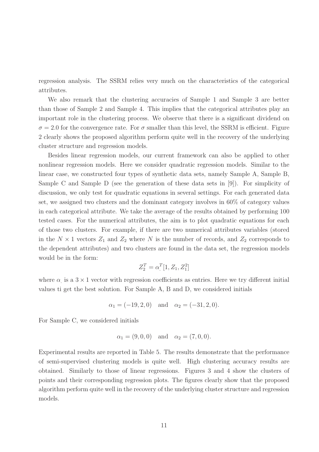regression analysis. The SSRM relies very much on the characteristics of the categorical attributes.

We also remark that the clustering accuracies of Sample 1 and Sample 3 are better than those of Sample 2 and Sample 4. This implies that the categorical attributes play an important role in the clustering process. We observe that there is a significant dividend on  $\sigma = 2.0$  for the convergence rate. For  $\sigma$  smaller than this level, the SSRM is efficient. Figure 2 clearly shows the proposed algorithm perform quite well in the recovery of the underlying cluster structure and regression models.

Besides linear regression models, our current framework can also be applied to other nonlinear regression models. Here we consider quadratic regression models. Similar to the linear case, we constructed four types of synthetic data sets, namely Sample A, Sample B, Sample C and Sample D (see the generation of these data sets in [9]). For simplicity of discussion, we only test for quadratic equations in several settings. For each generated data set, we assigned two clusters and the dominant category involves in 60% of category values in each categorical attribute. We take the average of the results obtained by performing 100 tested cases. For the numerical attributes, the aim is to plot quadratic equations for each of those two clusters. For example, if there are two numerical attributes variables (stored in the  $N \times 1$  vectors  $Z_1$  and  $Z_2$  where N is the number of records, and  $Z_2$  corresponds to the dependent attributes) and two clusters are found in the data set, the regression models would be in the form:

$$
Z_2^T = \alpha^T [1, Z_1, Z_1^2]
$$

where  $\alpha$  is a  $3 \times 1$  vector with regression coefficients as entries. Here we try different initial values ti get the best solution. For Sample A, B and D, we considered initials

$$
\alpha_1 = (-19, 2, 0)
$$
 and  $\alpha_2 = (-31, 2, 0).$ 

For Sample C, we considered initials

$$
\alpha_1 = (9, 0, 0)
$$
 and  $\alpha_2 = (7, 0, 0)$ .

Experimental results are reported in Table 5. The results demonstrate that the performance of semi-supervised clustering models is quite well. High clustering accuracy results are obtained. Similarly to those of linear regressions. Figures 3 and 4 show the clusters of points and their corresponding regression plots. The figures clearly show that the proposed algorithm perform quite well in the recovery of the underlying cluster structure and regression models.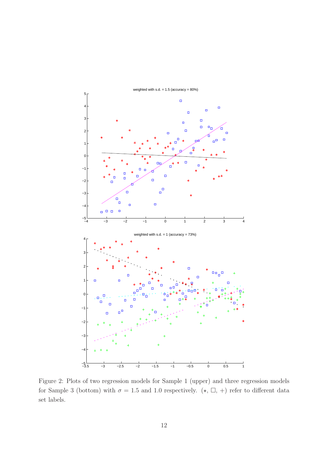

Figure 2: Plots of two regression models for Sample 1 (upper) and three regression models for Sample 3 (bottom) with  $\sigma = 1.5$  and 1.0 respectively. ( $\star$ ,  $\Box$ , +) refer to different data set labels.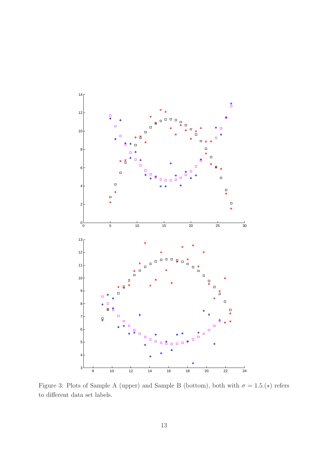

Figure 3: Plots of Sample A (upper) and Sample B (bottom), both with  $\sigma = 1.5(\star)$  refers to different data set labels.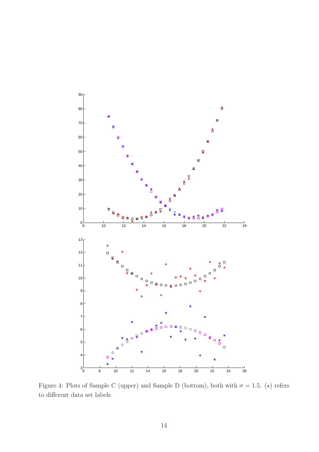

Figure 4: Plots of Sample C (upper) and Sample D (bottom), both with  $\sigma = 1.5$ . ( $\star$ ) refers to different data set labels.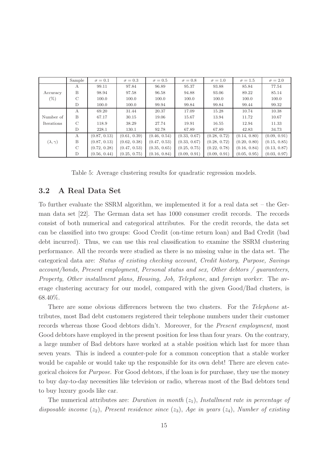|                     | Sample        | $\sigma = 0.1$ | $\sigma = 0.3$ | $\sigma = 0.5$ | $\sigma = 0.8$ | $\sigma = 1.0$ | $\sigma = 1.5$ | $\sigma = 2.0$ |
|---------------------|---------------|----------------|----------------|----------------|----------------|----------------|----------------|----------------|
|                     | А             | 99.11          | 97.84          | 96.89          | 95.37          | 93.88          | 85.84          | 77.54          |
| Accuracy            | B             | 98.94          | 97.58          | 96.58          | 94.88          | 93.06          | 89.22          | 85.14          |
| $(\%)$              | $\mathcal{C}$ | 100.0          | 100.0          | 100.0          | 100.0          | 100.0          | 100.0          | 100.0          |
|                     | D             | 100.0          | 100.0          | 99.94          | 99.84          | 99.84          | 99.44          | 99.32          |
|                     | А             | 69.20          | 31.44          | 20.37          | 17.09          | 15.28          | 10.74          | 10.38          |
| Number of           | B             | 67.17          | 30.15          | 19.06          | 15.67          | 13.94          | 11.72          | 10.67          |
| Iterations          | $\mathcal{C}$ | 118.9          | 38.29          | 27.74          | 19.91          | 16.55          | 12.94          | 11.33          |
|                     | D             | 228.1          | 130.1          | 92.78          | 67.89          | 67.89          | 42.83          | 34.73          |
|                     | А             | (0.87, 0.13)   | (0.61, 0.39)   | (0.46, 0.54)   | (0.33, 0.67)   | (0.28, 0.72)   | (0.14, 0.80)   | (0.09, 0.91)   |
| $(\lambda, \gamma)$ | B             | (0.87, 0.13)   | (0.62, 0.38)   | (0.47, 0.53)   | (0.33, 0.67)   | (0.28, 0.72)   | (0.20, 0.80)   | (0.15, 0.85)   |
|                     | $\mathcal{C}$ | (0.72, 0.28)   | (0.47, 0.53)   | (0.35, 0.65)   | (0.25, 0.75)   | (0.22, 0.78)   | (0.16, 0.84)   | (0.13, 0.87)   |
|                     | D             | (0.56, 0.44)   | (0.25, 0.75)   | (0.16, 0.84)   | (0.09, 0.91)   | (0.09, 0.91)   | (0.05, 0.95)   | (0.03, 0.97)   |

Table 5: Average clustering results for quadratic regression models.

## 3.2 A Real Data Set

To further evaluate the SSRM algorithm, we implemented it for a real data set – the German data set [22]. The German data set has 1000 consumer credit records. The records consist of both numerical and categorical attributes. For the credit records, the data set can be classified into two groups: Good Credit (on-time return loan) and Bad Credit (bad debt incurred). Thus, we can use this real classification to examine the SSRM clustering performance. All the records were studied as there is no missing value in the data set. The categorical data are: Status of existing checking account, Credit history, Purpose, Savings account/bonds, Present employment, Personal status and sex, Other debtors / guaranteers, Property, Other installment plans, Housing, Job, Telephone, and foreign worker. The average clustering accuracy for our model, compared with the given Good/Bad clusters, is 68.40%.

There are some obvious differences between the two clusters. For the Telephone attributes, most Bad debt customers registered their telephone numbers under their customer records whereas those Good debtors didn't. Moreover, for the Present employment, most Good debtors have employed in the present position for less than four years. On the contrary, a large number of Bad debtors have worked at a stable position which last for more than seven years. This is indeed a counter-pole for a common conception that a stable worker would be capable or would take up the responsible for its own debt! There are eleven categorical choices for Purpose. For Good debtors, if the loan is for purchase, they use the money to buy day-to-day necessities like television or radio, whereas most of the Bad debtors tend to buy luxury goods like car.

The numerical attributes are: Duration in month  $(z_1)$ , Installment rate in percentage of disposable income (z<sub>2</sub>), Present residence since (z<sub>3</sub>), Age in years (z<sub>4</sub>), Number of existing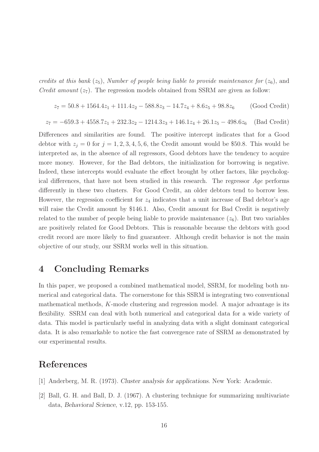credits at this bank  $(z_5)$ , Number of people being liable to provide maintenance for  $(z_6)$ , and *Credit amount*  $(z_7)$ . The regression models obtained from SSRM are given as follow:

$$
z_7 = 50.8 + 1564.4z_1 + 111.4z_2 - 588.8z_3 - 14.7z_4 + 8.6z_5 + 98.8z_6
$$
 (Good Credit)

$$
z_7 = -659.3 + 4558.7z_1 + 232.3z_2 - 1214.3z_3 + 146.1z_4 + 26.1z_5 - 498.6z_6
$$
 (Bad Credit)

Differences and similarities are found. The positive intercept indicates that for a Good debtor with  $z_j = 0$  for  $j = 1, 2, 3, 4, 5, 6$ , the Credit amount would be \$50.8. This would be interpreted as, in the absence of all regressors, Good debtors have the tendency to acquire more money. However, for the Bad debtors, the initialization for borrowing is negative. Indeed, these intercepts would evaluate the effect brought by other factors, like psychological differences, that have not been studied in this research. The regressor  $A\ddot{\theta}e$  performs differently in these two clusters. For Good Credit, an older debtors tend to borrow less. However, the regression coefficient for  $z_4$  indicates that a unit increase of Bad debtor's age will raise the Credit amount by \$146.1. Also, Credit amount for Bad Credit is negatively related to the number of people being liable to provide maintenance  $(z_6)$ . But two variables are positively related for Good Debtors. This is reasonable because the debtors with good credit record are more likely to find guaranteer. Although credit behavior is not the main objective of our study, our SSRM works well in this situation.

## 4 Concluding Remarks

In this paper, we proposed a combined mathematical model, SSRM, for modeling both numerical and categorical data. The cornerstone for this SSRM is integrating two conventional mathematical methods, K-mode clustering and regression model. A major advantage is its flexibility. SSRM can deal with both numerical and categorical data for a wide variety of data. This model is particularly useful in analyzing data with a slight dominant categorical data. It is also remarkable to notice the fast convergence rate of SSRM as demonstrated by our experimental results.

# References

- [1] Anderberg, M. R. (1973). Cluster analysis for applications. New York: Academic.
- [2] Ball, G. H. and Ball, D. J. (1967). A clustering technique for summarizing multivariate data, Behavioral Science, v.12, pp. 153-155.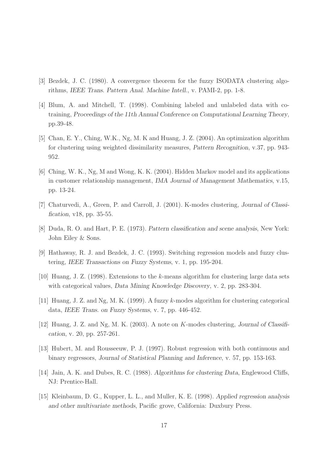- [3] Bezdek, J. C. (1980). A convergence theorem for the fuzzy ISODATA clustering algorithms, IEEE Trans. Pattern Anal. Machine Intell., v. PAMI-2, pp. 1-8.
- [4] Blum, A. and Mitchell, T. (1998). Combining labeled and unlabeled data with cotraining, Proceedings of the 11th Annual Conference on Computational Learning Theory, pp.39-48.
- [5] Chan, E. Y., Ching, W.K., Ng, M. K and Huang, J. Z. (2004). An optimization algorithm for clustering using weighted dissimilarity measures, Pattern Recognition, v.37, pp. 943- 952.
- [6] Ching, W. K., Ng, M and Wong, K. K. (2004). Hidden Markov model and its applications in customer relationship management, IMA Journal of Management Mathematics, v.15, pp. 13-24.
- [7] Chaturvedi, A., Green, P. and Carroll, J. (2001). K-modes clustering, Journal of Classification, v18, pp. 35-55.
- [8] Duda, R. O. and Hart, P. E. (1973). Pattern classification and scene analysis, New York: John Eiley & Sons.
- [9] Hathaway, R. J. and Bezdek, J. C. (1993). Switching regression models and fuzzy clustering, IEEE Transactions on Fuzzy Systems, v. 1, pp. 195-204.
- [10] Huang, J. Z. (1998). Extensions to the k-means algorithm for clustering large data sets with categorical values, *Data Mining Knowledge Discovery*, v. 2, pp. 283-304.
- [11] Huang, J. Z. and Ng, M. K. (1999). A fuzzy k-modes algorithm for clustering categorical data, IEEE Trans. on Fuzzy Systems, v. 7, pp. 446-452.
- [12] Huang, J. Z. and Ng, M. K. (2003). A note on K-modes clustering, Journal of Classification, v. 20, pp. 257-261.
- [13] Hubert, M. and Rousseeuw, P. J. (1997). Robust regression with both continuous and binary regressors, Journal of Statistical Planning and Inference, v. 57, pp. 153-163.
- [14] Jain, A. K. and Dubes, R. C. (1988). Algorithms for clustering Data, Englewood Cliffs, NJ: Prentice-Hall.
- [15] Kleinbaum, D. G., Kupper, L. L., and Muller, K. E. (1998). Applied regression analysis and other multivariate methods, Pacific grove, California: Duxbury Press.